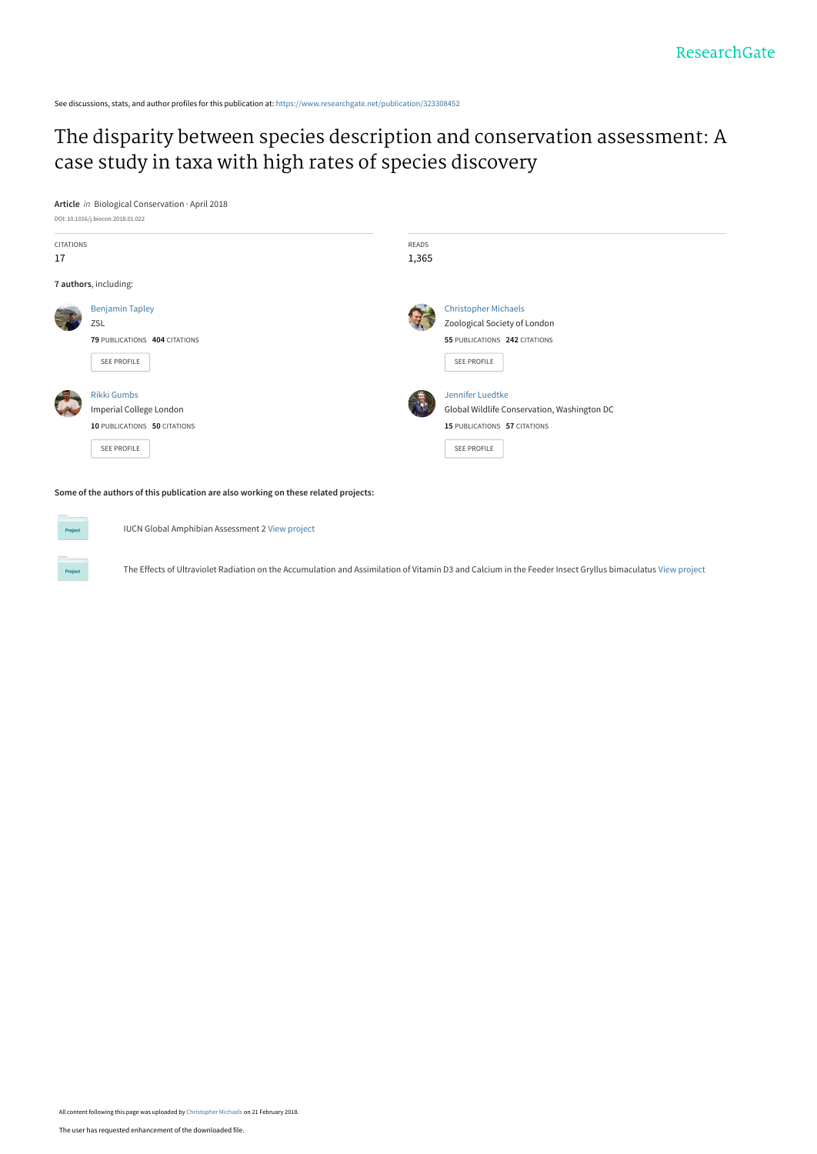See discussions, stats, and author profiles for this publication at: [https://www.researchgate.net/publication/323308452](https://www.researchgate.net/publication/323308452_The_disparity_between_species_description_and_conservation_assessment_A_case_study_in_taxa_with_high_rates_of_species_discovery?enrichId=rgreq-41770e538ba519040ff04cf5d8581a96-XXX&enrichSource=Y292ZXJQYWdlOzMyMzMwODQ1MjtBUzo1OTYzNzk4ODU5MTYxNjBAMTUxOTE5OTQ1MzM2Mw%3D%3D&el=1_x_2&_esc=publicationCoverPdf)

[The disparity between species description and conservation assessment: A](https://www.researchgate.net/publication/323308452_The_disparity_between_species_description_and_conservation_assessment_A_case_study_in_taxa_with_high_rates_of_species_discovery?enrichId=rgreq-41770e538ba519040ff04cf5d8581a96-XXX&enrichSource=Y292ZXJQYWdlOzMyMzMwODQ1MjtBUzo1OTYzNzk4ODU5MTYxNjBAMTUxOTE5OTQ1MzM2Mw%3D%3D&el=1_x_3&_esc=publicationCoverPdf) case study in taxa with high rates of species discovery



IUCN Global Amphibian Assessment 2 [View project](https://www.researchgate.net/project/IUCN-Global-Amphibian-Assessment-2?enrichId=rgreq-41770e538ba519040ff04cf5d8581a96-XXX&enrichSource=Y292ZXJQYWdlOzMyMzMwODQ1MjtBUzo1OTYzNzk4ODU5MTYxNjBAMTUxOTE5OTQ1MzM2Mw%3D%3D&el=1_x_9&_esc=publicationCoverPdf)

The Effects of Ultraviolet Radiation on the Accumulation and Assimilation of Vitamin D3 and Calcium in the Feeder Insect Gryllus bimaculatus [View project](https://www.researchgate.net/project/The-Effects-of-Ultraviolet-Radiation-on-the-Accumulation-and-Assimilation-of-Vitamin-D3-and-Calcium-in-the-Feeder-Insect-Gryllus-bimaculatus?enrichId=rgreq-41770e538ba519040ff04cf5d8581a96-XXX&enrichSource=Y292ZXJQYWdlOzMyMzMwODQ1MjtBUzo1OTYzNzk4ODU5MTYxNjBAMTUxOTE5OTQ1MzM2Mw%3D%3D&el=1_x_9&_esc=publicationCoverPdf)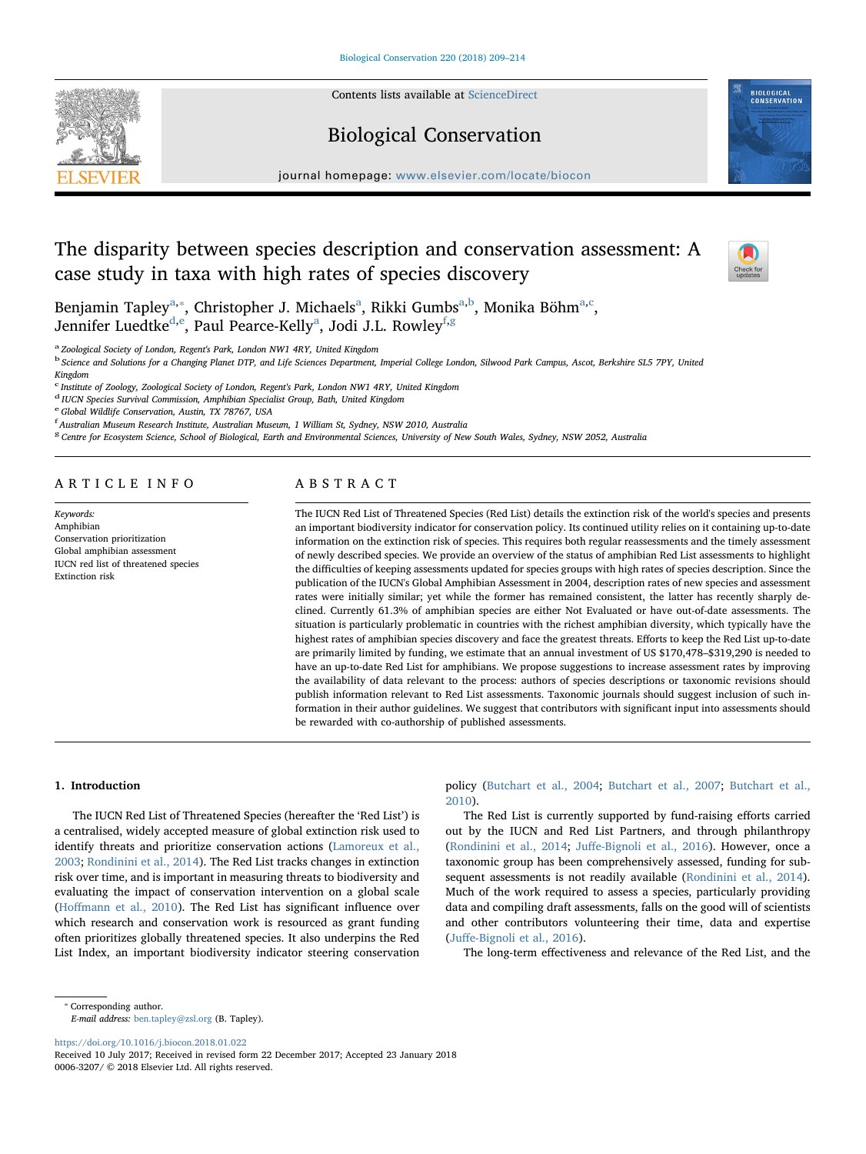

Contents lists available at [ScienceDirect](http://www.sciencedirect.com/science/journal/00063207)

## Biological Conservation



journal homepage: [www.elsevier.com/locate/biocon](https://www.elsevier.com/locate/biocon)

# The disparity between species description and conservation assessment: A case study in taxa with high rates of species discovery



Benjamin Tapley<sup>[a,](#page-1-0)</sup>\*, Christopher J. Mich[a](#page-1-0)els<sup>a</sup>, Rikki Gum[b](#page-1-2)s<sup>a,b</sup>, Monika Böhm<sup>a,[c](#page-1-3)</sup>, Jennifer Lue[d](#page-1-4)tke<sup>d[,e](#page-1-5)</sup>, P[a](#page-1-0)ul Pearce-Kelly<sup>a</sup>, Jodi J.L. Rowley<sup>[f](#page-1-6),[g](#page-1-7)</sup>

<span id="page-1-0"></span><sup>a</sup> Zoological Society of London, Regent's Park, London NW1 4RY, United Kingdom

<span id="page-1-2"></span><sup>b</sup> Science and Solutions for a Changing Planet DTP, and Life Sciences Department, Imperial College London, Silwood Park Campus, Ascot, Berkshire SL5 7PY, United Kingdom

<span id="page-1-3"></span><sup>c</sup> Institute of Zoology, Zoological Society of London, Regent's Park, London NW1 4RY, United Kingdom

<span id="page-1-4"></span><sup>d</sup> IUCN Species Survival Commission, Amphibian Specialist Group, Bath, United Kingdom

<span id="page-1-5"></span>e Global Wildlife Conservation, Austin, TX 78767, USA

<span id="page-1-6"></span><sup>f</sup> Australian Museum Research Institute, Australian Museum, 1 William St, Sydney, NSW 2010, Australia

<span id="page-1-7"></span><sup>g</sup> Centre for Ecosystem Science, School of Biological, Earth and Environmental Sciences, University of New South Wales, Sydney, NSW 2052, Australia

## ARTICLE INFO

Keywords: Amphibian Conservation prioritization Global amphibian assessment IUCN red list of threatened species Extinction risk

## ABSTRACT

The IUCN Red List of Threatened Species (Red List) details the extinction risk of the world's species and presents an important biodiversity indicator for conservation policy. Its continued utility relies on it containing up-to-date information on the extinction risk of species. This requires both regular reassessments and the timely assessment of newly described species. We provide an overview of the status of amphibian Red List assessments to highlight the difficulties of keeping assessments updated for species groups with high rates of species description. Since the publication of the IUCN's Global Amphibian Assessment in 2004, description rates of new species and assessment rates were initially similar; yet while the former has remained consistent, the latter has recently sharply declined. Currently 61.3% of amphibian species are either Not Evaluated or have out-of-date assessments. The situation is particularly problematic in countries with the richest amphibian diversity, which typically have the highest rates of amphibian species discovery and face the greatest threats. Efforts to keep the Red List up-to-date are primarily limited by funding, we estimate that an annual investment of US \$170,478–\$319,290 is needed to have an up-to-date Red List for amphibians. We propose suggestions to increase assessment rates by improving the availability of data relevant to the process: authors of species descriptions or taxonomic revisions should publish information relevant to Red List assessments. Taxonomic journals should suggest inclusion of such information in their author guidelines. We suggest that contributors with significant input into assessments should be rewarded with co-authorship of published assessments.

#### 1. Introduction

The IUCN Red List of Threatened Species (hereafter the 'Red List') is a centralised, widely accepted measure of global extinction risk used to identify threats and prioritize conservation actions [\(Lamoreux et al.,](#page-6-0) [2003;](#page-6-0) [Rondinini et al., 2014](#page-6-1)). The Red List tracks changes in extinction risk over time, and is important in measuring threats to biodiversity and evaluating the impact of conservation intervention on a global scale (Hoff[mann et al., 2010](#page-6-2)). The Red List has significant influence over which research and conservation work is resourced as grant funding often prioritizes globally threatened species. It also underpins the Red List Index, an important biodiversity indicator steering conservation

policy ([Butchart et al., 2004](#page-6-3); [Butchart et al., 2007;](#page-6-4) [Butchart et al.,](#page-6-5) [2010\)](#page-6-5).

The Red List is currently supported by fund-raising efforts carried out by the IUCN and Red List Partners, and through philanthropy ([Rondinini et al., 2014](#page-6-1); Juff[e-Bignoli et al., 2016](#page-6-6)). However, once a taxonomic group has been comprehensively assessed, funding for subsequent assessments is not readily available [\(Rondinini et al., 2014](#page-6-1)). Much of the work required to assess a species, particularly providing data and compiling draft assessments, falls on the good will of scientists and other contributors volunteering their time, data and expertise (Juff[e-Bignoli et al., 2016](#page-6-6)).

The long-term effectiveness and relevance of the Red List, and the

<https://doi.org/10.1016/j.biocon.2018.01.022>

<span id="page-1-1"></span><sup>⁎</sup> Corresponding author.

E-mail address: [ben.tapley@zsl.org](mailto:ben.tapley@zsl.org) (B. Tapley).

Received 10 July 2017; Received in revised form 22 December 2017; Accepted 23 January 2018 0006-3207/ © 2018 Elsevier Ltd. All rights reserved.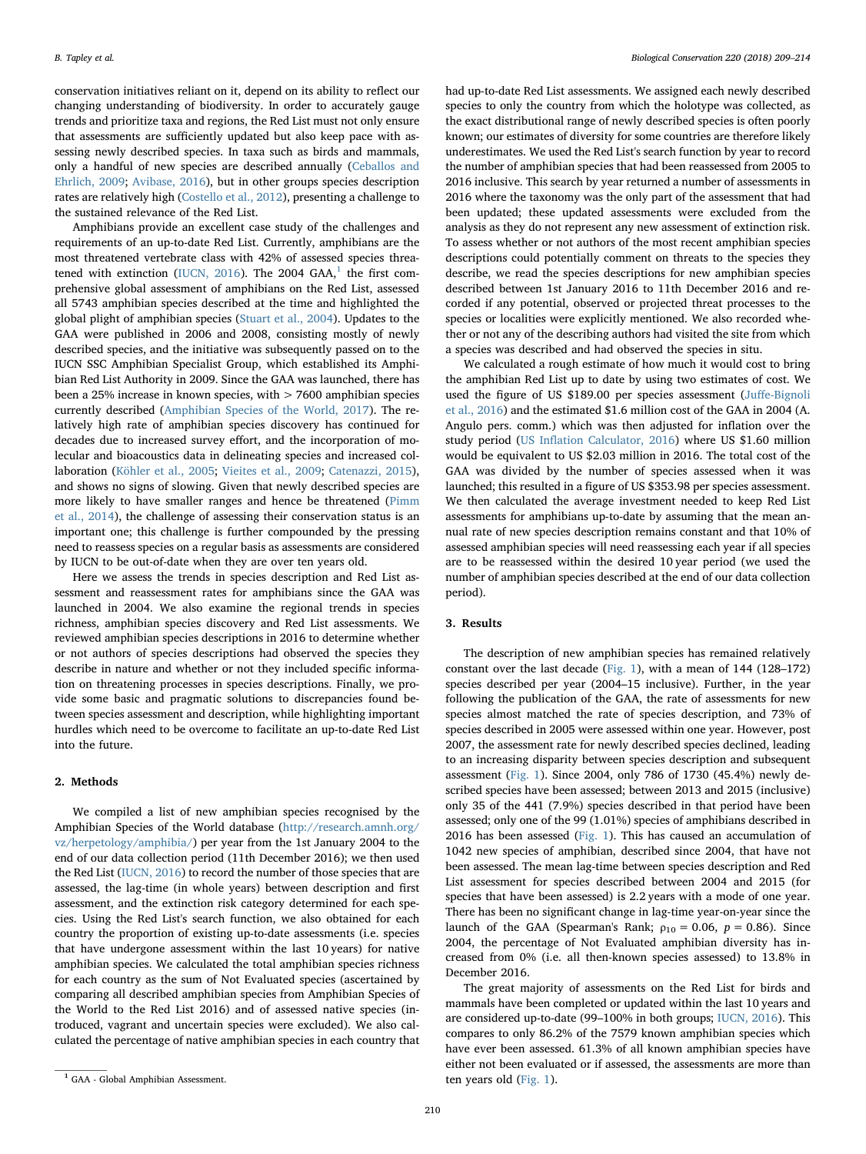conservation initiatives reliant on it, depend on its ability to reflect our changing understanding of biodiversity. In order to accurately gauge trends and prioritize taxa and regions, the Red List must not only ensure that assessments are sufficiently updated but also keep pace with assessing newly described species. In taxa such as birds and mammals, only a handful of new species are described annually [\(Ceballos and](#page-6-7) [Ehrlich, 2009](#page-6-7); [Avibase, 2016\)](#page-6-8), but in other groups species description rates are relatively high [\(Costello et al., 2012](#page-6-9)), presenting a challenge to the sustained relevance of the Red List.

Amphibians provide an excellent case study of the challenges and requirements of an up-to-date Red List. Currently, amphibians are the most threatened vertebrate class with 42% of assessed species threa-tened with extinction ([IUCN, 2016](#page-6-10)). The 2004  $GAA$ <sup>[1](#page-2-0)</sup> the first comprehensive global assessment of amphibians on the Red List, assessed all 5743 amphibian species described at the time and highlighted the global plight of amphibian species ([Stuart et al., 2004](#page-6-11)). Updates to the GAA were published in 2006 and 2008, consisting mostly of newly described species, and the initiative was subsequently passed on to the IUCN SSC Amphibian Specialist Group, which established its Amphibian Red List Authority in 2009. Since the GAA was launched, there has been a 25% increase in known species, with > 7600 amphibian species currently described ([Amphibian Species of the World, 2017](#page-6-12)). The relatively high rate of amphibian species discovery has continued for decades due to increased survey effort, and the incorporation of molecular and bioacoustics data in delineating species and increased collaboration ([Köhler et al., 2005;](#page-6-13) [Vieites et al., 2009](#page-6-14); [Catenazzi, 2015](#page-6-15)), and shows no signs of slowing. Given that newly described species are more likely to have smaller ranges and hence be threatened [\(Pimm](#page-6-16) [et al., 2014\)](#page-6-16), the challenge of assessing their conservation status is an important one; this challenge is further compounded by the pressing need to reassess species on a regular basis as assessments are considered by IUCN to be out-of-date when they are over ten years old.

Here we assess the trends in species description and Red List assessment and reassessment rates for amphibians since the GAA was launched in 2004. We also examine the regional trends in species richness, amphibian species discovery and Red List assessments. We reviewed amphibian species descriptions in 2016 to determine whether or not authors of species descriptions had observed the species they describe in nature and whether or not they included specific information on threatening processes in species descriptions. Finally, we provide some basic and pragmatic solutions to discrepancies found between species assessment and description, while highlighting important hurdles which need to be overcome to facilitate an up-to-date Red List into the future.

### 2. Methods

<span id="page-2-0"></span>We compiled a list of new amphibian species recognised by the Amphibian Species of the World database ([http://research.amnh.org/](http://research.amnh.org/vz/herpetology/amphibia) [vz/herpetology/amphibia/\)](http://research.amnh.org/vz/herpetology/amphibia) per year from the 1st January 2004 to the end of our data collection period (11th December 2016); we then used the Red List ([IUCN, 2016\)](#page-6-10) to record the number of those species that are assessed, the lag-time (in whole years) between description and first assessment, and the extinction risk category determined for each species. Using the Red List's search function, we also obtained for each country the proportion of existing up-to-date assessments (i.e. species that have undergone assessment within the last 10 years) for native amphibian species. We calculated the total amphibian species richness for each country as the sum of Not Evaluated species (ascertained by comparing all described amphibian species from Amphibian Species of the World to the Red List 2016) and of assessed native species (introduced, vagrant and uncertain species were excluded). We also calculated the percentage of native amphibian species in each country that

had up-to-date Red List assessments. We assigned each newly described species to only the country from which the holotype was collected, as the exact distributional range of newly described species is often poorly known; our estimates of diversity for some countries are therefore likely underestimates. We used the Red List's search function by year to record the number of amphibian species that had been reassessed from 2005 to 2016 inclusive. This search by year returned a number of assessments in 2016 where the taxonomy was the only part of the assessment that had been updated; these updated assessments were excluded from the analysis as they do not represent any new assessment of extinction risk. To assess whether or not authors of the most recent amphibian species descriptions could potentially comment on threats to the species they describe, we read the species descriptions for new amphibian species described between 1st January 2016 to 11th December 2016 and recorded if any potential, observed or projected threat processes to the species or localities were explicitly mentioned. We also recorded whether or not any of the describing authors had visited the site from which a species was described and had observed the species in situ.

We calculated a rough estimate of how much it would cost to bring the amphibian Red List up to date by using two estimates of cost. We used the figure of US \$189.00 per species assessment (Juff[e-Bignoli](#page-6-6) [et al., 2016](#page-6-6)) and the estimated \$1.6 million cost of the GAA in 2004 (A. Angulo pers. comm.) which was then adjusted for inflation over the study period (US Infl[ation Calculator, 2016](#page-6-17)) where US \$1.60 million would be equivalent to US \$2.03 million in 2016. The total cost of the GAA was divided by the number of species assessed when it was launched; this resulted in a figure of US \$353.98 per species assessment. We then calculated the average investment needed to keep Red List assessments for amphibians up-to-date by assuming that the mean annual rate of new species description remains constant and that 10% of assessed amphibian species will need reassessing each year if all species are to be reassessed within the desired 10 year period (we used the number of amphibian species described at the end of our data collection period).

## 3. Results

The description of new amphibian species has remained relatively constant over the last decade ([Fig. 1](#page-3-0)), with a mean of 144 (128–172) species described per year (2004–15 inclusive). Further, in the year following the publication of the GAA, the rate of assessments for new species almost matched the rate of species description, and 73% of species described in 2005 were assessed within one year. However, post 2007, the assessment rate for newly described species declined, leading to an increasing disparity between species description and subsequent assessment [\(Fig. 1\)](#page-3-0). Since 2004, only 786 of 1730 (45.4%) newly described species have been assessed; between 2013 and 2015 (inclusive) only 35 of the 441 (7.9%) species described in that period have been assessed; only one of the 99 (1.01%) species of amphibians described in 2016 has been assessed [\(Fig. 1](#page-3-0)). This has caused an accumulation of 1042 new species of amphibian, described since 2004, that have not been assessed. The mean lag-time between species description and Red List assessment for species described between 2004 and 2015 (for species that have been assessed) is 2.2 years with a mode of one year. There has been no significant change in lag-time year-on-year since the launch of the GAA (Spearman's Rank;  $\rho_{10} = 0.06$ ,  $p = 0.86$ ). Since 2004, the percentage of Not Evaluated amphibian diversity has increased from 0% (i.e. all then-known species assessed) to 13.8% in December 2016.

The great majority of assessments on the Red List for birds and mammals have been completed or updated within the last 10 years and are considered up-to-date (99–100% in both groups; [IUCN, 2016](#page-6-10)). This compares to only 86.2% of the 7579 known amphibian species which have ever been assessed. 61.3% of all known amphibian species have either not been evaluated or if assessed, the assessments are more than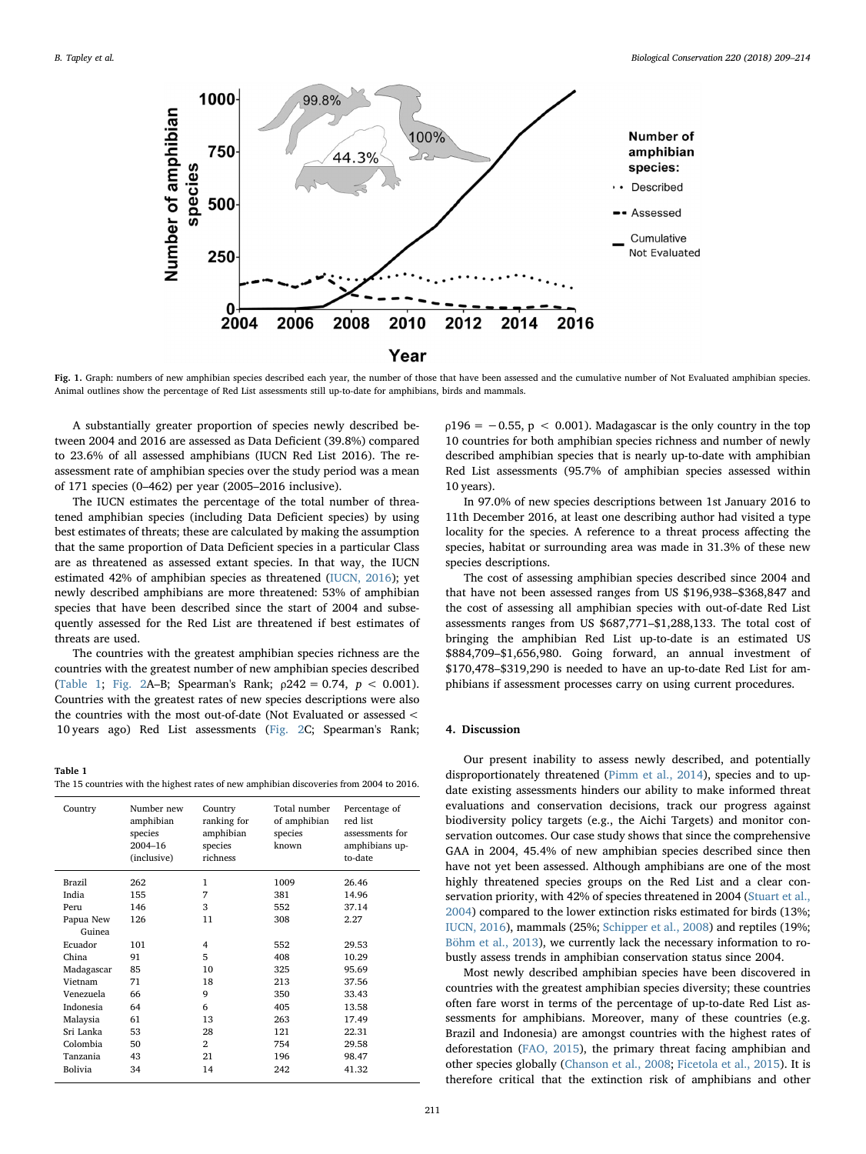<span id="page-3-0"></span>

Fig. 1. Graph: numbers of new amphibian species described each year, the number of those that have been assessed and the cumulative number of Not Evaluated amphibian species. Animal outlines show the percentage of Red List assessments still up-to-date for amphibians, birds and mammals.

A substantially greater proportion of species newly described between 2004 and 2016 are assessed as Data Deficient (39.8%) compared to 23.6% of all assessed amphibians (IUCN Red List 2016). The reassessment rate of amphibian species over the study period was a mean of 171 species (0–462) per year (2005–2016 inclusive).

The IUCN estimates the percentage of the total number of threatened amphibian species (including Data Deficient species) by using best estimates of threats; these are calculated by making the assumption that the same proportion of Data Deficient species in a particular Class are as threatened as assessed extant species. In that way, the IUCN estimated 42% of amphibian species as threatened [\(IUCN, 2016](#page-6-10)); yet newly described amphibians are more threatened: 53% of amphibian species that have been described since the start of 2004 and subsequently assessed for the Red List are threatened if best estimates of threats are used.

The countries with the greatest amphibian species richness are the countries with the greatest number of new amphibian species described ([Table 1](#page-3-1); [Fig. 2A](#page-4-0)–B; Spearman's Rank;  $\rho$ 242 = 0.74,  $p < 0.001$ ). Countries with the greatest rates of new species descriptions were also the countries with the most out-of-date (Not Evaluated or assessed < 10 years ago) Red List assessments [\(Fig. 2](#page-4-0)C; Spearman's Rank;

<span id="page-3-1"></span>Table 1 The 15 countries with the highest rates of new amphibian discoveries from 2004 to 2016.

| Country       | Number new<br>amphibian<br>species<br>$2004 - 16$<br>(inclusive) | Country<br>ranking for<br>amphibian<br>species<br>richness | Total number<br>of amphibian<br>species<br>known | Percentage of<br>red list<br>assessments for<br>amphibians up-<br>to-date |
|---------------|------------------------------------------------------------------|------------------------------------------------------------|--------------------------------------------------|---------------------------------------------------------------------------|
| <b>Brazil</b> | 262                                                              | 1                                                          | 1009                                             | 26.46                                                                     |
| India         | 155                                                              | 7                                                          | 381                                              | 14.96                                                                     |
| Peru          | 146                                                              | 3                                                          | 552                                              | 37.14                                                                     |
| Papua New     | 126                                                              | 11                                                         | 308                                              | 2.27                                                                      |
| Guinea        |                                                                  |                                                            |                                                  |                                                                           |
| Ecuador       | 101                                                              | 4                                                          | 552                                              | 29.53                                                                     |
| China         | 91                                                               | 5                                                          | 408                                              | 10.29                                                                     |
| Madagascar    | 85                                                               | 10                                                         | 325                                              | 95.69                                                                     |
| Vietnam       | 71                                                               | 18                                                         | 213                                              | 37.56                                                                     |
| Venezuela     | 66                                                               | 9                                                          | 350                                              | 33.43                                                                     |
| Indonesia     | 64                                                               | 6                                                          | 405                                              | 13.58                                                                     |
| Malaysia      | 61                                                               | 13                                                         | 263                                              | 17.49                                                                     |
| Sri Lanka     | 53                                                               | 28                                                         | 121                                              | 22.31                                                                     |
| Colombia      | 50                                                               | $\mathbf{2}$                                               | 754                                              | 29.58                                                                     |
| Tanzania      | 43                                                               | 21                                                         | 196                                              | 98.47                                                                     |
| Bolivia       | 34                                                               | 14                                                         | 242                                              | 41.32                                                                     |
|               |                                                                  |                                                            |                                                  |                                                                           |

 $p196 = -0.55$ ,  $p < 0.001$ ). Madagascar is the only country in the top 10 countries for both amphibian species richness and number of newly described amphibian species that is nearly up-to-date with amphibian Red List assessments (95.7% of amphibian species assessed within 10 years).

In 97.0% of new species descriptions between 1st January 2016 to 11th December 2016, at least one describing author had visited a type locality for the species. A reference to a threat process affecting the species, habitat or surrounding area was made in 31.3% of these new species descriptions.

The cost of assessing amphibian species described since 2004 and that have not been assessed ranges from US \$196,938–\$368,847 and the cost of assessing all amphibian species with out-of-date Red List assessments ranges from US \$687,771–\$1,288,133. The total cost of bringing the amphibian Red List up-to-date is an estimated US \$884,709–\$1,656,980. Going forward, an annual investment of \$170,478–\$319,290 is needed to have an up-to-date Red List for amphibians if assessment processes carry on using current procedures.

#### 4. Discussion

Our present inability to assess newly described, and potentially disproportionately threatened ([Pimm et al., 2014\)](#page-6-16), species and to update existing assessments hinders our ability to make informed threat evaluations and conservation decisions, track our progress against biodiversity policy targets (e.g., the Aichi Targets) and monitor conservation outcomes. Our case study shows that since the comprehensive GAA in 2004, 45.4% of new amphibian species described since then have not yet been assessed. Although amphibians are one of the most highly threatened species groups on the Red List and a clear conservation priority, with 42% of species threatened in 2004 ([Stuart et al.,](#page-6-11) [2004\)](#page-6-11) compared to the lower extinction risks estimated for birds (13%; [IUCN, 2016](#page-6-10)), mammals (25%; [Schipper et al., 2008\)](#page-6-18) and reptiles (19%; [Böhm et al., 2013\)](#page-6-19), we currently lack the necessary information to robustly assess trends in amphibian conservation status since 2004.

Most newly described amphibian species have been discovered in countries with the greatest amphibian species diversity; these countries often fare worst in terms of the percentage of up-to-date Red List assessments for amphibians. Moreover, many of these countries (e.g. Brazil and Indonesia) are amongst countries with the highest rates of deforestation [\(FAO, 2015\)](#page-6-20), the primary threat facing amphibian and other species globally ([Chanson et al., 2008](#page-6-21); [Ficetola et al., 2015\)](#page-6-22). It is therefore critical that the extinction risk of amphibians and other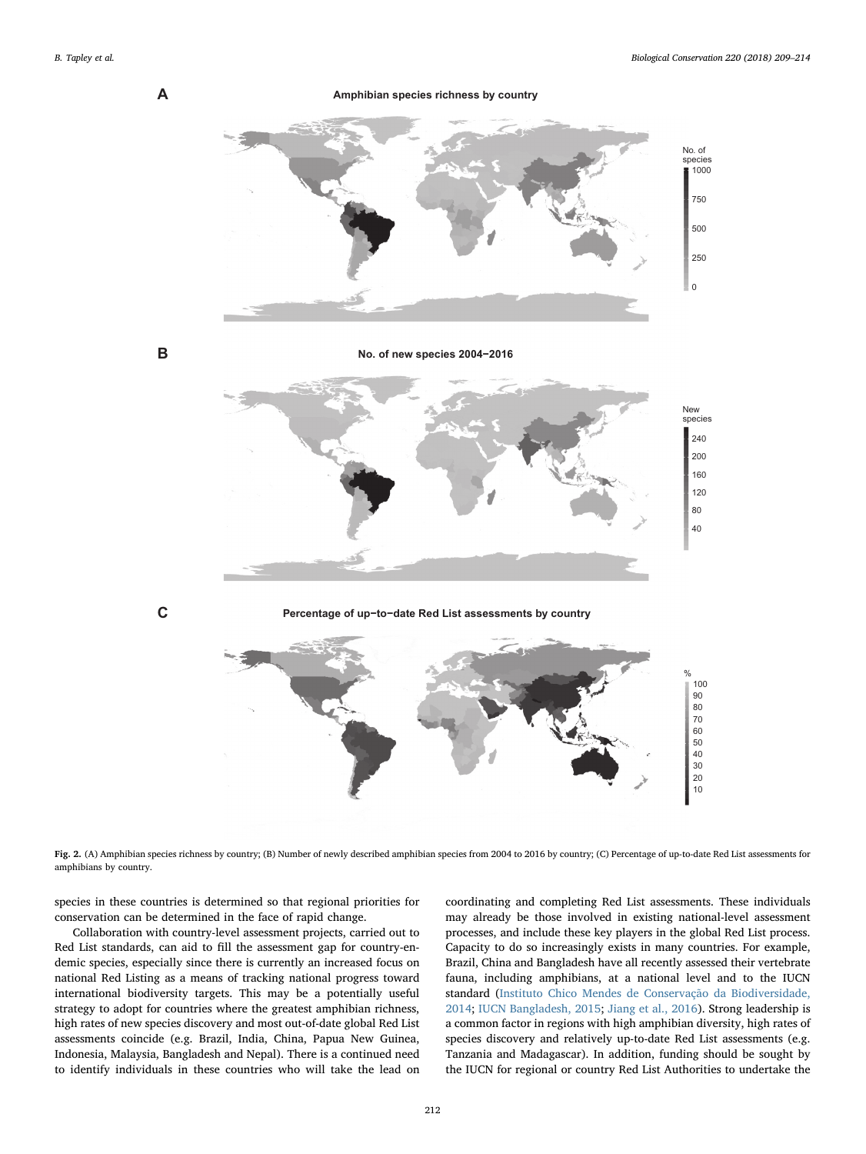#### <span id="page-4-0"></span>**A Amphibian species richness by country**



**B No. of new species 2004−2016**



**C Percentage of up−to−date Red List assessments by country**



Fig. 2. (A) Amphibian species richness by country; (B) Number of newly described amphibian species from 2004 to 2016 by country; (C) Percentage of up-to-date Red List assessments for amphibians by country.

species in these countries is determined so that regional priorities for conservation can be determined in the face of rapid change.

Collaboration with country-level assessment projects, carried out to Red List standards, can aid to fill the assessment gap for country-endemic species, especially since there is currently an increased focus on national Red Listing as a means of tracking national progress toward international biodiversity targets. This may be a potentially useful strategy to adopt for countries where the greatest amphibian richness, high rates of new species discovery and most out-of-date global Red List assessments coincide (e.g. Brazil, India, China, Papua New Guinea, Indonesia, Malaysia, Bangladesh and Nepal). There is a continued need to identify individuals in these countries who will take the lead on coordinating and completing Red List assessments. These individuals may already be those involved in existing national-level assessment processes, and include these key players in the global Red List process. Capacity to do so increasingly exists in many countries. For example, Brazil, China and Bangladesh have all recently assessed their vertebrate fauna, including amphibians, at a national level and to the IUCN standard ([Instituto Chico Mendes de Conservação da Biodiversidade,](#page-6-23) [2014;](#page-6-23) [IUCN Bangladesh, 2015;](#page-6-24) [Jiang et al., 2016](#page-6-25)). Strong leadership is a common factor in regions with high amphibian diversity, high rates of species discovery and relatively up-to-date Red List assessments (e.g. Tanzania and Madagascar). In addition, funding should be sought by the IUCN for regional or country Red List Authorities to undertake the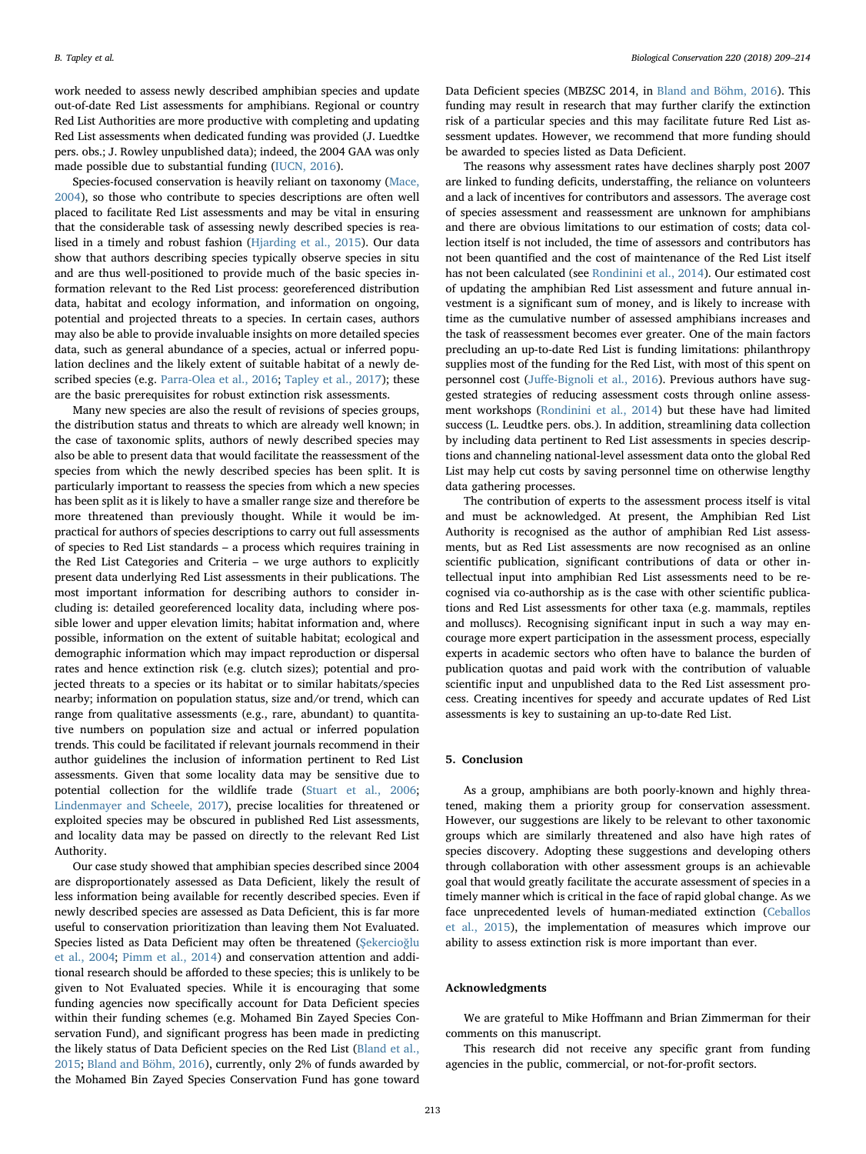work needed to assess newly described amphibian species and update out-of-date Red List assessments for amphibians. Regional or country Red List Authorities are more productive with completing and updating Red List assessments when dedicated funding was provided (J. Luedtke pers. obs.; J. Rowley unpublished data); indeed, the 2004 GAA was only made possible due to substantial funding [\(IUCN, 2016](#page-6-10)).

Species-focused conservation is heavily reliant on taxonomy ([Mace,](#page-6-26) [2004\)](#page-6-26), so those who contribute to species descriptions are often well placed to facilitate Red List assessments and may be vital in ensuring that the considerable task of assessing newly described species is realised in a timely and robust fashion ([Hjarding et al., 2015\)](#page-6-27). Our data show that authors describing species typically observe species in situ and are thus well-positioned to provide much of the basic species information relevant to the Red List process: georeferenced distribution data, habitat and ecology information, and information on ongoing, potential and projected threats to a species. In certain cases, authors may also be able to provide invaluable insights on more detailed species data, such as general abundance of a species, actual or inferred population declines and the likely extent of suitable habitat of a newly described species (e.g. [Parra-Olea et al., 2016](#page-6-28); [Tapley et al., 2017\)](#page-6-29); these are the basic prerequisites for robust extinction risk assessments.

Many new species are also the result of revisions of species groups, the distribution status and threats to which are already well known; in the case of taxonomic splits, authors of newly described species may also be able to present data that would facilitate the reassessment of the species from which the newly described species has been split. It is particularly important to reassess the species from which a new species has been split as it is likely to have a smaller range size and therefore be more threatened than previously thought. While it would be impractical for authors of species descriptions to carry out full assessments of species to Red List standards – a process which requires training in the Red List Categories and Criteria – we urge authors to explicitly present data underlying Red List assessments in their publications. The most important information for describing authors to consider including is: detailed georeferenced locality data, including where possible lower and upper elevation limits; habitat information and, where possible, information on the extent of suitable habitat; ecological and demographic information which may impact reproduction or dispersal rates and hence extinction risk (e.g. clutch sizes); potential and projected threats to a species or its habitat or to similar habitats/species nearby; information on population status, size and/or trend, which can range from qualitative assessments (e.g., rare, abundant) to quantitative numbers on population size and actual or inferred population trends. This could be facilitated if relevant journals recommend in their author guidelines the inclusion of information pertinent to Red List assessments. Given that some locality data may be sensitive due to potential collection for the wildlife trade ([Stuart et al., 2006](#page-6-30); [Lindenmayer and Scheele, 2017](#page-6-31)), precise localities for threatened or exploited species may be obscured in published Red List assessments, and locality data may be passed on directly to the relevant Red List Authority.

Our case study showed that amphibian species described since 2004 are disproportionately assessed as Data Deficient, likely the result of less information being available for recently described species. Even if newly described species are assessed as Data Deficient, this is far more useful to conservation prioritization than leaving them Not Evaluated. Species listed as Data Deficient may often be threatened (Ş[ekercio](#page-6-32)ğlu [et al., 2004](#page-6-32); [Pimm et al., 2014](#page-6-16)) and conservation attention and additional research should be afforded to these species; this is unlikely to be given to Not Evaluated species. While it is encouraging that some funding agencies now specifically account for Data Deficient species within their funding schemes (e.g. Mohamed Bin Zayed Species Conservation Fund), and significant progress has been made in predicting the likely status of Data Deficient species on the Red List ([Bland et al.,](#page-6-33) [2015;](#page-6-33) [Bland and Böhm, 2016\)](#page-6-34), currently, only 2% of funds awarded by the Mohamed Bin Zayed Species Conservation Fund has gone toward

Data Deficient species (MBZSC 2014, in [Bland and Böhm, 2016\)](#page-6-34). This funding may result in research that may further clarify the extinction risk of a particular species and this may facilitate future Red List assessment updates. However, we recommend that more funding should be awarded to species listed as Data Deficient.

The reasons why assessment rates have declines sharply post 2007 are linked to funding deficits, understaffing, the reliance on volunteers and a lack of incentives for contributors and assessors. The average cost of species assessment and reassessment are unknown for amphibians and there are obvious limitations to our estimation of costs; data collection itself is not included, the time of assessors and contributors has not been quantified and the cost of maintenance of the Red List itself has not been calculated (see [Rondinini et al., 2014](#page-6-1)). Our estimated cost of updating the amphibian Red List assessment and future annual investment is a significant sum of money, and is likely to increase with time as the cumulative number of assessed amphibians increases and the task of reassessment becomes ever greater. One of the main factors precluding an up-to-date Red List is funding limitations: philanthropy supplies most of the funding for the Red List, with most of this spent on personnel cost (Juff[e-Bignoli et al., 2016\)](#page-6-6). Previous authors have suggested strategies of reducing assessment costs through online assessment workshops [\(Rondinini et al., 2014\)](#page-6-1) but these have had limited success (L. Leudtke pers. obs.). In addition, streamlining data collection by including data pertinent to Red List assessments in species descriptions and channeling national-level assessment data onto the global Red List may help cut costs by saving personnel time on otherwise lengthy data gathering processes.

The contribution of experts to the assessment process itself is vital and must be acknowledged. At present, the Amphibian Red List Authority is recognised as the author of amphibian Red List assessments, but as Red List assessments are now recognised as an online scientific publication, significant contributions of data or other intellectual input into amphibian Red List assessments need to be recognised via co-authorship as is the case with other scientific publications and Red List assessments for other taxa (e.g. mammals, reptiles and molluscs). Recognising significant input in such a way may encourage more expert participation in the assessment process, especially experts in academic sectors who often have to balance the burden of publication quotas and paid work with the contribution of valuable scientific input and unpublished data to the Red List assessment process. Creating incentives for speedy and accurate updates of Red List assessments is key to sustaining an up-to-date Red List.

## 5. Conclusion

As a group, amphibians are both poorly-known and highly threatened, making them a priority group for conservation assessment. However, our suggestions are likely to be relevant to other taxonomic groups which are similarly threatened and also have high rates of species discovery. Adopting these suggestions and developing others through collaboration with other assessment groups is an achievable goal that would greatly facilitate the accurate assessment of species in a timely manner which is critical in the face of rapid global change. As we face unprecedented levels of human-mediated extinction [\(Ceballos](#page-6-35) [et al., 2015](#page-6-35)), the implementation of measures which improve our ability to assess extinction risk is more important than ever.

#### Acknowledgments

We are grateful to Mike Hoffmann and Brian Zimmerman for their comments on this manuscript.

This research did not receive any specific grant from funding agencies in the public, commercial, or not-for-profit sectors.